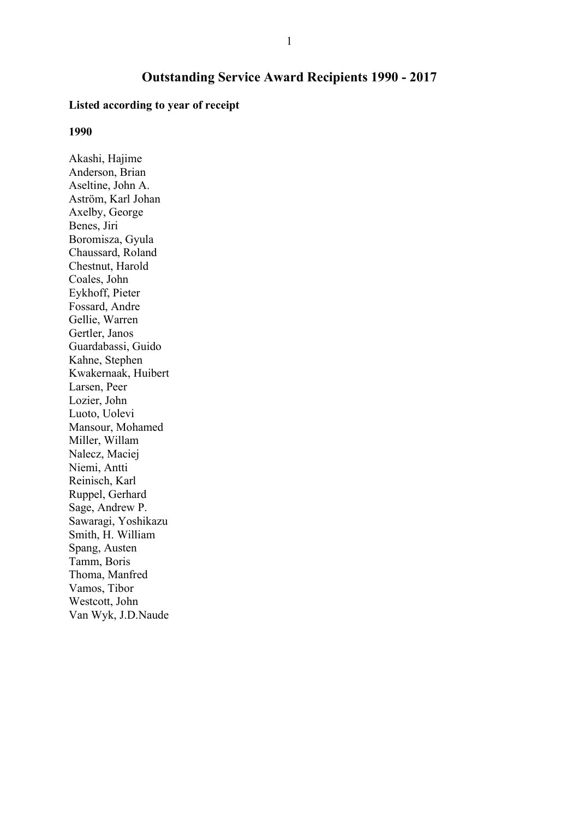# Outstanding Service Award Recipients 1990 - 2017

## Listed according to year of receipt

#### 1990

Akashi, Hajime Anderson, Brian Aseltine, John A. Aström, Karl Johan Axelby, George Benes, Jiri Boromisza, Gyula Chaussard, Roland Chestnut, Harold Coales, John Eykhoff, Pieter Fossard, Andre Gellie, Warren Gertler, Janos Guardabassi, Guido Kahne, Stephen Kwakernaak, Huibert Larsen, Peer Lozier, John Luoto, Uolevi Mansour, Mohamed Miller, Willam Nalecz, Maciej Niemi, Antti Reinisch, Karl Ruppel, Gerhard Sage, Andrew P. Sawaragi, Yoshikazu Smith, H. William Spang, Austen Tamm, Boris Thoma, Manfred Vamos, Tibor Westcott, John Van Wyk, J.D.Naude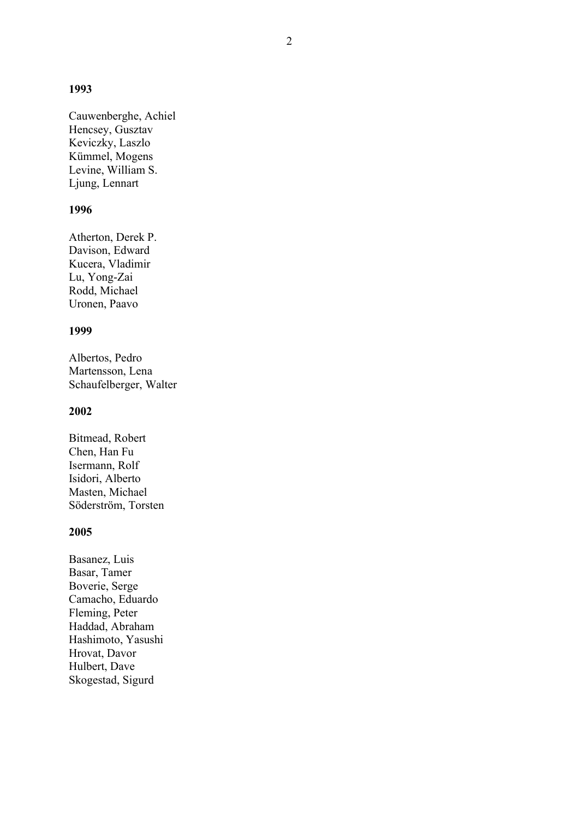#### 1993

Cauwenberghe, Achiel Hencsey, Gusztav Keviczky, Laszlo Kümmel, Mogens Levine, William S. Ljung, Lennart

## 1996

Atherton, Derek P. Davison, Edward Kucera, Vladimir Lu, Yong-Zai Rodd, Michael Uronen, Paavo

#### 1999

Albertos, Pedro Martensson, Lena Schaufelberger, Walter

## 2002

Bitmead, Robert Chen, Han Fu Isermann, Rolf Isidori, Alberto Masten, Michael Söderström, Torsten

### 2005

Basanez, Luis Basar, Tamer Boverie, Serge Camacho, Eduardo Fleming, Peter Haddad, Abraham Hashimoto, Yasushi Hrovat, Davor Hulbert, Dave Skogestad, Sigurd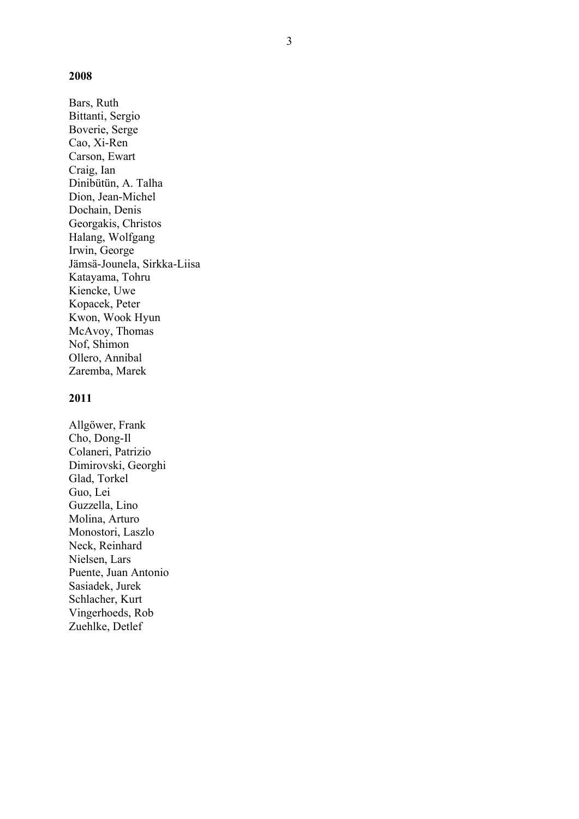### 2008

Bars, Ruth Bittanti, Sergio Boverie, Serge Cao, Xi-Ren Carson, Ewart Craig, Ian Dinibütün, A. Talha Dion, Jean-Michel Dochain, Denis Georgakis, Christos Halang, Wolfgang Irwin, George Jämsä-Jounela, Sirkka-Liisa Katayama, Tohru Kiencke, Uwe Kopacek, Peter Kwon, Wook Hyun McAvoy, Thomas Nof, Shimon Ollero, Annibal Zaremba, Marek

#### 2011

Allgöwer, Frank Cho, Dong-Il Colaneri, Patrizio Dimirovski, Georghi Glad, Torkel Guo, Lei Guzzella, Lino Molina, Arturo Monostori, Laszlo Neck, Reinhard Nielsen, Lars Puente, Juan Antonio Sasiadek, Jurek Schlacher, Kurt Vingerhoeds, Rob Zuehlke, Detlef